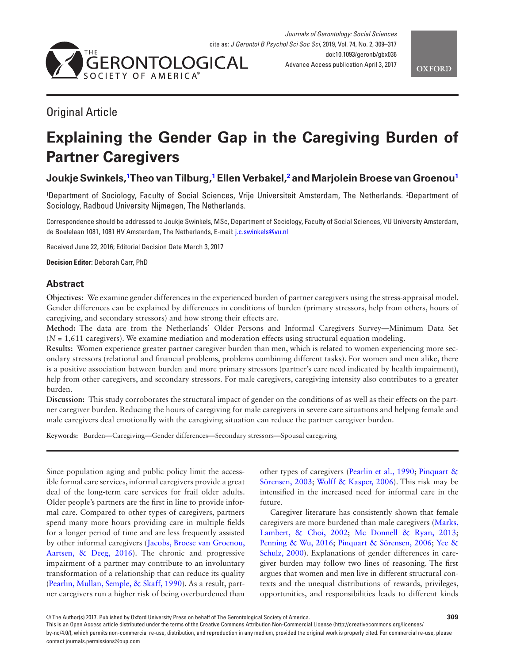



# Original Article

# **Explaining the Gender Gap in the Caregiving Burden of Partner Caregivers**

# **Joukje Swinkels[,1](#page-0-0) Theo van Tilburg,[1](#page-0-0) Ellen Verbakel[,2](#page-0-1) and Marjolein Broese van Groenou[1](#page-0-0)**

<span id="page-0-1"></span><span id="page-0-0"></span>1 Department of Sociology, Faculty of Social Sciences, Vrije Universiteit Amsterdam, The Netherlands. 2 Department of Sociology, Radboud University Nijmegen, The Netherlands.

Correspondence should be addressed to Joukje Swinkels, MSc, Department of Sociology, Faculty of Social Sciences, VU University Amsterdam, de Boelelaan 1081, 1081 HV Amsterdam, The Netherlands, E-mail: [j.c.swinkels@vu.nl](mailto:j.c.swinkels@vu.nl?subject=)

Received June 22, 2016; Editorial Decision Date March 3, 2017

**Decision Editor:** Deborah Carr, PhD

# **Abstract**

**Objectives:** We examine gender differences in the experienced burden of partner caregivers using the stress-appraisal model. Gender differences can be explained by differences in conditions of burden (primary stressors, help from others, hours of caregiving, and secondary stressors) and how strong their effects are.

**Method:** The data are from the Netherlands' Older Persons and Informal Caregivers Survey—Minimum Data Set  $(N = 1.611$  caregivers). We examine mediation and moderation effects using structural equation modeling.

**Results:** Women experience greater partner caregiver burden than men, which is related to women experiencing more secondary stressors (relational and financial problems, problems combining different tasks). For women and men alike, there is a positive association between burden and more primary stressors (partner's care need indicated by health impairment), help from other caregivers, and secondary stressors. For male caregivers, caregiving intensity also contributes to a greater burden.

**Discussion:** This study corroborates the structural impact of gender on the conditions of as well as their effects on the partner caregiver burden. Reducing the hours of caregiving for male caregivers in severe care situations and helping female and male caregivers deal emotionally with the caregiving situation can reduce the partner caregiver burden.

**Keywords:** Burden—Caregiving—Gender differences—Secondary stressors—Spousal caregiving

Since population aging and public policy limit the accessible formal care services, informal caregivers provide a great deal of the long-term care services for frail older adults. Older people's partners are the first in line to provide informal care. Compared to other types of caregivers, partners spend many more hours providing care in multiple fields for a longer period of time and are less frequently assisted by other informal caregivers ([Jacobs, Broese van Groenou,](#page-7-0)  [Aartsen, & Deeg, 2016](#page-7-0)). The chronic and progressive impairment of a partner may contribute to an involuntary transformation of a relationship that can reduce its quality ([Pearlin, Mullan, Semple, & Skaff, 1990\)](#page-8-0). As a result, partner caregivers run a higher risk of being overburdened than

other types of caregivers ([Pearlin et al., 1990;](#page-8-0) [Pinquart &](#page-8-1)  [Sörensen, 2003](#page-8-1); [Wolff & Kasper, 2006](#page-8-2)). This risk may be intensified in the increased need for informal care in the future.

Caregiver literature has consistently shown that female caregivers are more burdened than male caregivers [\(Marks,](#page-8-3)  [Lambert, & Choi, 2002](#page-8-3); [Mc Donnell & Ryan, 2013](#page-8-4); [Penning & Wu, 2016;](#page-8-5) [Pinquart & Sörensen, 2006](#page-8-6); [Yee &](#page-8-7)  [Schulz, 2000](#page-8-7)). Explanations of gender differences in caregiver burden may follow two lines of reasoning. The first argues that women and men live in different structural contexts and the unequal distributions of rewards, privileges, opportunities, and responsibilities leads to different kinds

This is an Open Access article distributed under the terms of the Creative Commons Attribution Non-Commercial License (http://creativecommons.org/licenses/ by-nc/4.0/), which permits non-commercial re-use, distribution, and reproduction in any medium, provided the original work is properly cited. For commercial re-use, please

contact journals.permissions@oup.com

<sup>©</sup> The Author(s) 2017. Published by Oxford University Press on behalf of The Gerontological Society of America. **309**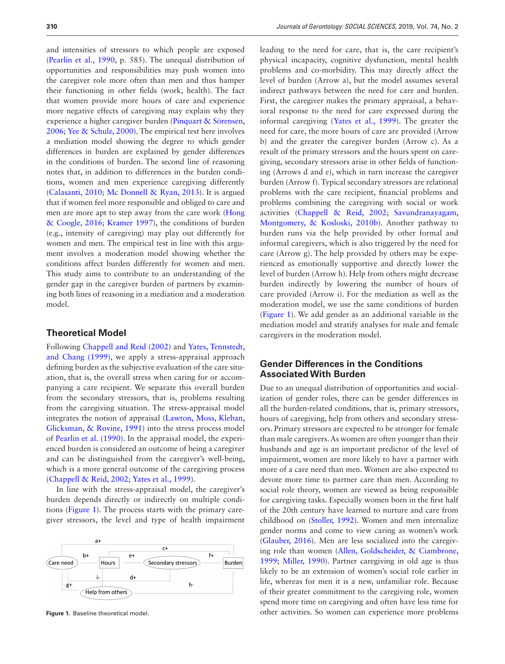and intensities of stressors to which people are exposed ([Pearlin et al., 1990](#page-8-0), p. 585). The unequal distribution of opportunities and responsibilities may push women into the caregiver role more often than men and thus hamper their functioning in other fields (work, health). The fact that women provide more hours of care and experience more negative effects of caregiving may explain why they experience a higher caregiver burden ([Pinquart & Sörensen,](#page-8-6)  [2006](#page-8-6); [Yee & Schulz, 2000](#page-8-7)). The empirical test here involves a mediation model showing the degree to which gender differences in burden are explained by gender differences in the conditions of burden. The second line of reasoning notes that, in addition to differences in the burden conditions, women and men experience caregiving differently ([Calasanti, 2010](#page-7-1); [Mc Donnell & Ryan, 2013](#page-8-4)). It is argued that if women feel more responsible and obliged to care and men are more apt to step away from the care work [\(Hong](#page-7-2)  [& Coogle, 2016;](#page-7-2) [Kramer 1997](#page-7-3)), the conditions of burden (e.g., intensity of caregiving) may play out differently for women and men. The empirical test in line with this argument involves a moderation model showing whether the conditions affect burden differently for women and men. This study aims to contribute to an understanding of the gender gap in the caregiver burden of partners by examining both lines of reasoning in a mediation and a moderation model.

## **Theoretical Model**

Following [Chappell and Reid \(2002\)](#page-7-4) and [Yates, Tennstedt,](#page-8-8)  [and Chang \(1999\)](#page-8-8), we apply a stress-appraisal approach defining burden as the subjective evaluation of the care situation, that is, the overall stress when caring for or accompanying a care recipient. We separate this overall burden from the secondary stressors, that is, problems resulting from the caregiving situation. The stress-appraisal model integrates the notion of appraisal [\(Lawton, Moss, Kleban,](#page-8-9)  [Glicksman, & Rovine, 1991\)](#page-8-9) into the stress process model of [Pearlin et al. \(1990\)](#page-8-0). In the appraisal model, the experienced burden is considered an outcome of being a caregiver and can be distinguished from the caregiver's well-being, which is a more general outcome of the caregiving process ([Chappell & Reid, 2002](#page-7-4); [Yates et al., 1999\)](#page-8-8).

In line with the stress-appraisal model, the caregiver's burden depends directly or indirectly on multiple conditions [\(Figure 1\)](#page-1-0). The process starts with the primary caregiver stressors, the level and type of health impairment



<span id="page-1-0"></span>

leading to the need for care, that is, the care recipient's physical incapacity, cognitive dysfunction, mental health problems and co-morbidity. This may directly affect the level of burden (Arrow a), but the model assumes several indirect pathways between the need for care and burden. First, the caregiver makes the primary appraisal, a behavioral response to the need for care expressed during the informal caregiving [\(Yates et al., 1999](#page-8-8)). The greater the need for care, the more hours of care are provided (Arrow b) and the greater the caregiver burden (Arrow c). As a result of the primary stressors and the hours spent on caregiving, secondary stressors arise in other fields of functioning (Arrows d and e), which in turn increase the caregiver burden (Arrow f). Typical secondary stressors are relational problems with the care recipient, financial problems and problems combining the caregiving with social or work activities ([Chappell & Reid, 2002](#page-7-4); [Savundranayagam,](#page-8-10)  [Montgomery, & Kosloski, 2010b\)](#page-8-10). Another pathway to burden runs via the help provided by other formal and informal caregivers, which is also triggered by the need for care (Arrow g). The help provided by others may be experienced as emotionally supportive and directly lower the level of burden (Arrow h). Help from others might decrease burden indirectly by lowering the number of hours of care provided (Arrow i). For the mediation as well as the moderation model, we use the same conditions of burden ([Figure 1](#page-1-0)). We add gender as an additional variable in the mediation model and stratify analyses for male and female caregivers in the moderation model.

# **Gender Differences in the Conditions Associated With Burden**

Due to an unequal distribution of opportunities and socialization of gender roles, there can be gender differences in all the burden-related conditions, that is, primary stressors, hours of caregiving, help from others and secondary stressors. Primary stressors are expected to be stronger for female than male caregivers. As women are often younger than their husbands and age is an important predictor of the level of impairment, women are more likely to have a partner with more of a care need than men. Women are also expected to devote more time to partner care than men. According to social role theory, women are viewed as being responsible for caregiving tasks. Especially women born in the first half of the 20th century have learned to nurture and care from childhood on [\(Stoller, 1992\)](#page-8-11). Women and men internalize gender norms and come to view caring as women's work ([Glauber, 2016](#page-7-5)). Men are less socialized into the caregiving role than women [\(Allen, Goldscheider, & Ciambrone,](#page-7-6)  [1999](#page-7-6); [Miller, 1990](#page-8-12)). Partner caregiving in old age is thus likely to be an extension of women's social role earlier in life, whereas for men it is a new, unfamiliar role. Because of their greater commitment to the caregiving role, women spend more time on caregiving and often have less time for **Figure 1.** Baseline theoretical model. other activities. So women can experience more problems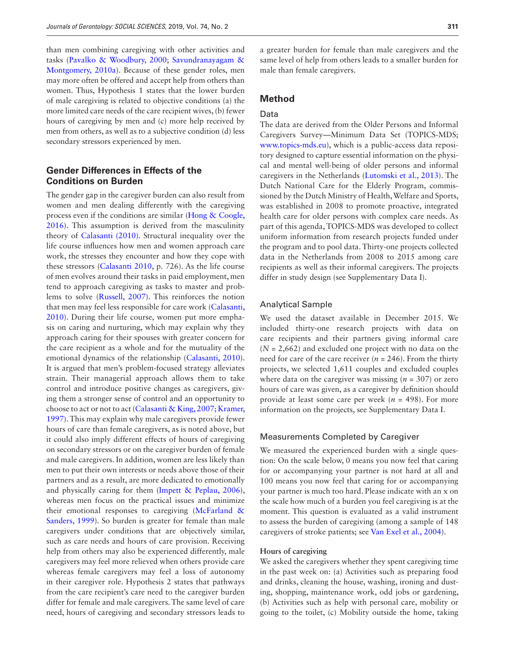than men combining caregiving with other activities and tasks [\(Pavalko & Woodbury, 2000;](#page-8-13) [Savundranayagam &](#page-8-14)  [Montgomery, 2010a\)](#page-8-14). Because of these gender roles, men may more often be offered and accept help from others than women. Thus, Hypothesis 1 states that the lower burden of male caregiving is related to objective conditions (a) the more limited care needs of the care recipient wives, (b) fewer hours of caregiving by men and (c) more help received by men from others, as well as to a subjective condition (d) less secondary stressors experienced by men.

# **Gender Differences in Effects of the Conditions on Burden**

The gender gap in the caregiver burden can also result from women and men dealing differently with the caregiving process even if the conditions are similar ([Hong & Coogle,](#page-7-2)  [2016](#page-7-2)). This assumption is derived from the masculinity theory of [Calasanti \(2010\)](#page-7-1). Structural inequality over the life course influences how men and women approach care work, the stresses they encounter and how they cope with these stressors ([Calasanti 2010](#page-7-1), p. 726). As the life course of men evolves around their tasks in paid employment, men tend to approach caregiving as tasks to master and problems to solve ([Russell, 2007\)](#page-8-15). This reinforces the notion that men may feel less responsible for care work ([Calasanti,](#page-7-1)  [2010](#page-7-1)). During their life course, women put more emphasis on caring and nurturing, which may explain why they approach caring for their spouses with greater concern for the care recipient as a whole and for the mutuality of the emotional dynamics of the relationship ([Calasanti, 2010](#page-7-1)). It is argued that men's problem-focused strategy alleviates strain. Their managerial approach allows them to take control and introduce positive changes as caregivers, giving them a stronger sense of control and an opportunity to choose to act or not to act [\(Calasanti & King, 2007;](#page-7-7) [Kramer,](#page-7-3)  [1997](#page-7-3)). This may explain why male caregivers provide fewer hours of care than female caregivers, as is noted above, but it could also imply different effects of hours of caregiving on secondary stressors or on the caregiver burden of female and male caregivers. In addition, women are less likely than men to put their own interests or needs above those of their partners and as a result, are more dedicated to emotionally and physically caring for them ([Impett & Peplau, 2006](#page-7-8)), whereas men focus on the practical issues and minimize their emotional responses to caregiving [\(McFarland &](#page-8-16)  [Sanders, 1999](#page-8-16)). So burden is greater for female than male caregivers under conditions that are objectively similar, such as care needs and hours of care provision. Receiving help from others may also be experienced differently, male caregivers may feel more relieved when others provide care whereas female caregivers may feel a loss of autonomy in their caregiver role. Hypothesis 2 states that pathways from the care recipient's care need to the caregiver burden differ for female and male caregivers. The same level of care need, hours of caregiving and secondary stressors leads to

a greater burden for female than male caregivers and the same level of help from others leads to a smaller burden for male than female caregivers.

## **Method**

#### Data

The data are derived from the Older Persons and Informal Caregivers Survey—Minimum Data Set (TOPICS-MDS; [www.topics-mds.eu\)](http://www.topics-mds.eu), which is a public-access data repository designed to capture essential information on the physical and mental well-being of older persons and informal caregivers in the Netherlands [\(Lutomski et al., 2013](#page-8-17)). The Dutch National Care for the Elderly Program, commissioned by the Dutch Ministry of Health, Welfare and Sports, was established in 2008 to promote proactive, integrated health care for older persons with complex care needs. As part of this agenda, TOPICS-MDS was developed to collect uniform information from research projects funded under the program and to pool data. Thirty-one projects collected data in the Netherlands from 2008 to 2015 among care recipients as well as their informal caregivers. The projects differ in study design (see Supplementary Data I).

#### Analytical Sample

We used the dataset available in December 2015. We included thirty-one research projects with data on care recipients and their partners giving informal care  $(N = 2,662)$  and excluded one project with no data on the need for care of the care receiver ( $n = 246$ ). From the thirty projects, we selected 1,611 couples and excluded couples where data on the caregiver was missing  $(n = 307)$  or zero hours of care was given, as a caregiver by definition should provide at least some care per week (*n* = 498). For more information on the projects, see Supplementary Data I.

#### Measurements Completed by Caregiver

We measured the experienced burden with a single question: On the scale below, 0 means you now feel that caring for or accompanying your partner is not hard at all and 100 means you now feel that caring for or accompanying your partner is much too hard. Please indicate with an x on the scale how much of a burden you feel caregiving is at the moment. This question is evaluated as a valid instrument to assess the burden of caregiving (among a sample of 148 caregivers of stroke patients; see [Van Exel et al., 2004\)](#page-8-18).

#### **Hours of caregiving**

We asked the caregivers whether they spent caregiving time in the past week on: (a) Activities such as preparing food and drinks, cleaning the house, washing, ironing and dusting, shopping, maintenance work, odd jobs or gardening, (b) Activities such as help with personal care, mobility or going to the toilet, (c) Mobility outside the home, taking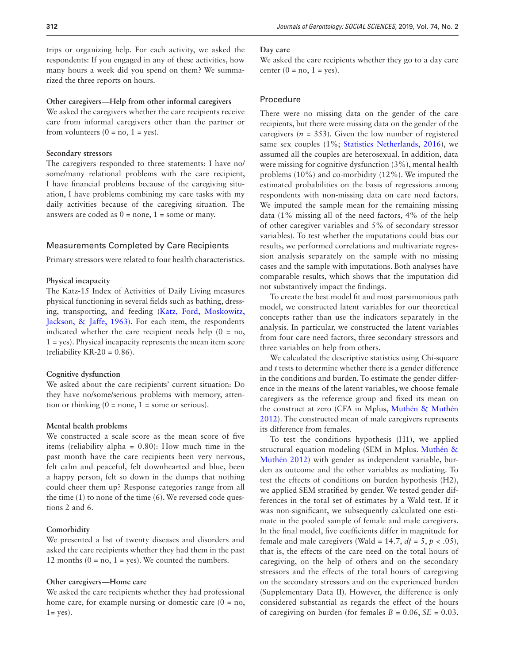trips or organizing help. For each activity, we asked the respondents: If you engaged in any of these activities, how many hours a week did you spend on them? We summarized the three reports on hours.

#### **Other caregivers—Help from other informal caregivers**

We asked the caregivers whether the care recipients receive care from informal caregivers other than the partner or from volunteers  $(0 = no, 1 = yes)$ .

#### **Secondary stressors**

The caregivers responded to three statements: I have no/ some/many relational problems with the care recipient, I have financial problems because of the caregiving situation, I have problems combining my care tasks with my daily activities because of the caregiving situation. The answers are coded as  $0 = none$ ,  $1 = some$  or many.

#### Measurements Completed by Care Recipients

Primary stressors were related to four health characteristics.

#### **Physical incapacity**

The Katz-15 Index of Activities of Daily Living measures physical functioning in several fields such as bathing, dressing, transporting, and feeding ([Katz, Ford, Moskowitz,](#page-7-9)  [Jackson, & Jaffe, 1963\)](#page-7-9). For each item, the respondents indicated whether the care recipient needs help  $(0 = no,$ 1 = yes). Physical incapacity represents the mean item score (reliability  $KR-20 = 0.86$ ).

#### **Cognitive dysfunction**

We asked about the care recipients' current situation: Do they have no/some/serious problems with memory, attention or thinking  $(0 = none, 1 = some or serious)$ .

#### **Mental health problems**

We constructed a scale score as the mean score of five items (reliability alpha = 0.80): How much time in the past month have the care recipients been very nervous, felt calm and peaceful, felt downhearted and blue, been a happy person, felt so down in the dumps that nothing could cheer them up? Response categories range from all the time (1) to none of the time (6). We reversed code questions 2 and 6.

#### **Comorbidity**

We presented a list of twenty diseases and disorders and asked the care recipients whether they had them in the past 12 months  $(0 = no, 1 = yes)$ . We counted the numbers.

#### **Other caregivers—Home care**

We asked the care recipients whether they had professional home care, for example nursing or domestic care  $(0 = no,$  $1 = yes$ ).

#### **Day care**

We asked the care recipients whether they go to a day care center  $(0 = no, 1 = yes)$ .

#### **Procedure**

There were no missing data on the gender of the care recipients, but there were missing data on the gender of the caregivers ( $n = 353$ ). Given the low number of registered same sex couples (1%; [Statistics Netherlands, 2016](#page-8-19)), we assumed all the couples are heterosexual. In addition, data were missing for cognitive dysfunction (3%), mental health problems (10%) and co-morbidity (12%). We imputed the estimated probabilities on the basis of regressions among respondents with non-missing data on care need factors. We imputed the sample mean for the remaining missing data (1% missing all of the need factors, 4% of the help of other caregiver variables and 5% of secondary stressor variables). To test whether the imputations could bias our results, we performed correlations and multivariate regression analysis separately on the sample with no missing cases and the sample with imputations. Both analyses have comparable results, which shows that the imputation did not substantively impact the findings.

To create the best model fit and most parsimonious path model, we constructed latent variables for our theoretical concepts rather than use the indicators separately in the analysis. In particular, we constructed the latent variables from four care need factors, three secondary stressors and three variables on help from others.

We calculated the descriptive statistics using Chi-square and *t* tests to determine whether there is a gender difference in the conditions and burden. To estimate the gender difference in the means of the latent variables, we choose female caregivers as the reference group and fixed its mean on the construct at zero (CFA in Mplus, [Muthén & Muthén](#page-8-20)  [2012](#page-8-20)). The constructed mean of male caregivers represents its difference from females.

To test the conditions hypothesis (H1), we applied structural equation modeling (SEM in Mplus. [Muthén &](#page-8-20)  [Muthén 2012\)](#page-8-20) with gender as independent variable, burden as outcome and the other variables as mediating. To test the effects of conditions on burden hypothesis (H2), we applied SEM stratified by gender. We tested gender differences in the total set of estimates by a Wald test. If it was non-significant, we subsequently calculated one estimate in the pooled sample of female and male caregivers. In the final model, five coefficients differ in magnitude for female and male caregivers (Wald =  $14.7$ ,  $df = 5$ ,  $p < .05$ ), that is, the effects of the care need on the total hours of caregiving, on the help of others and on the secondary stressors and the effects of the total hours of caregiving on the secondary stressors and on the experienced burden (Supplementary Data II). However, the difference is only considered substantial as regards the effect of the hours of caregiving on burden (for females  $B = 0.06$ ,  $SE = 0.03$ .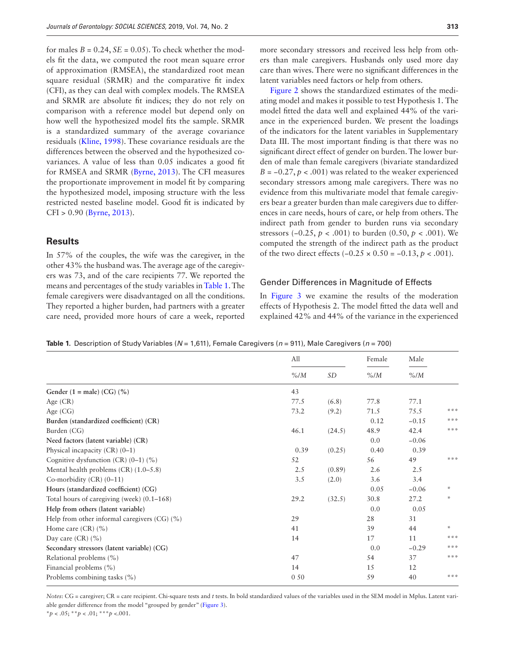for males  $B = 0.24$ ,  $SE = 0.05$ ). To check whether the models fit the data, we computed the root mean square error of approximation (RMSEA), the standardized root mean square residual (SRMR) and the comparative fit index (CFI), as they can deal with complex models. The RMSEA and SRMR are absolute fit indices; they do not rely on comparison with a reference model but depend only on how well the hypothesized model fits the sample. SRMR is a standardized summary of the average covariance residuals ([Kline, 1998](#page-7-10)). These covariance residuals are the differences between the observed and the hypothesized covariances. A value of less than 0.05 indicates a good fit for RMSEA and SRMR ([Byrne, 2013\)](#page-7-11). The CFI measures the proportionate improvement in model fit by comparing the hypothesized model, imposing structure with the less restricted nested baseline model. Good fit is indicated by CFI > 0.90 ([Byrne, 2013](#page-7-11)).

#### **Results**

In 57% of the couples, the wife was the caregiver, in the other 43% the husband was. The average age of the caregivers was 73, and of the care recipients 77. We reported the means and percentages of the study variables in [Table 1](#page-4-0). The female caregivers were disadvantaged on all the conditions. They reported a higher burden, had partners with a greater care need, provided more hours of care a week, reported

more secondary stressors and received less help from others than male caregivers. Husbands only used more day care than wives. There were no significant differences in the latent variables need factors or help from others.

[Figure 2](#page-5-0) shows the standardized estimates of the mediating model and makes it possible to test Hypothesis 1. The model fitted the data well and explained 44% of the variance in the experienced burden. We present the loadings of the indicators for the latent variables in Supplementary Data III. The most important finding is that there was no significant direct effect of gender on burden. The lower burden of male than female caregivers (bivariate standardized  $B = -0.27$ ,  $p < .001$ ) was related to the weaker experienced secondary stressors among male caregivers. There was no evidence from this multivariate model that female caregivers bear a greater burden than male caregivers due to differences in care needs, hours of care, or help from others. The indirect path from gender to burden runs via secondary stressors (−0.25, *p* < .001) to burden (0.50, *p* < .001). We computed the strength of the indirect path as the product of the two direct effects (−0.25 × 0.50 = −0.13, *p* < .001).

#### Gender Differences in Magnitude of Effects

In Figure 3 we examine the results of the moderation effects of Hypothesis 2. The model fitted the data well and explained 42% and 44% of the variance in the experienced

<span id="page-4-0"></span>**Table 1.** Description of Study Variables (*N* = 1,611), Female Caregivers (*n* = 911), Male Caregivers (*n* = 700)

|                                              | All     |        | Female  | Male    |                       |
|----------------------------------------------|---------|--------|---------|---------|-----------------------|
|                                              | $\%$ /M | SD     | $\%$ /M | $\%$ /M |                       |
| Gender $(1 = male) (CG) (%)$                 | 43      |        |         |         |                       |
| Age $(CR)$                                   | 77.5    | (6.8)  | 77.8    | 77.1    |                       |
| Age $(CG)$                                   | 73.2    | (9.2)  | 71.5    | 75.5    | ***                   |
| Burden (standardized coefficient) (CR)       |         |        | 0.12    | $-0.15$ | ***                   |
| Burden (CG)                                  | 46.1    | (24.5) | 48.9    | 42.4    | ***                   |
| Need factors (latent variable) (CR)          |         |        | 0.0     | $-0.06$ |                       |
| Physical incapacity $(CR)$ $(0-1)$           | 0.39    | (0.25) | 0.40    | 0.39    |                       |
| Cognitive dysfunction $(CR)$ $(0-1)$ $(%)$   | 52      |        | 56      | 49      | ***                   |
| Mental health problems $(CR)$ $(1.0-5.8)$    | 2.5     | (0.89) | 2.6     | 2.5     |                       |
| Co-morbidity $(CR)$ $(0-11)$                 | 3.5     | (2.0)  | 3.6     | 3.4     |                       |
| Hours (standardized coefficient) (CG)        |         |        | 0.05    | $-0.06$ | ÷                     |
| Total hours of caregiving (week) (0.1-168)   | 29.2    | (32.5) | 30.8    | 27.2    | ÷                     |
| Help from others (latent variable)           |         |        | 0.0     | 0.05    |                       |
| Help from other informal caregivers (CG) (%) | 29      |        | 28      | 31      |                       |
| Home care $(CR)$ $(\% )$                     | 41      |        | 39      | 44      | $\frac{1}{2\sqrt{2}}$ |
| Day care $(CR)$ $(\%)$                       | 14      |        | 17      | 11      | ***                   |
| Secondary stressors (latent variable) (CG)   |         |        | 0.0     | $-0.29$ | ***                   |
| Relational problems (%)                      | 47      |        | 54      | 37      | ***                   |
| Financial problems (%)                       | 14      |        | 15      | 12      |                       |
| Problems combining tasks (%)                 | 0.50    |        | 59      | 40      | $* * *$               |

*Notes*: CG = caregiver; CR = care recipient. Chi-square tests and *t* tests. In bold standardized values of the variables used in the SEM model in Mplus. Latent variable gender difference from the model "grouped by gender" ([Figure 3\)](#page-5-1).

\**p* < .05; \*\**p* < .01; \*\*\**p* <.001.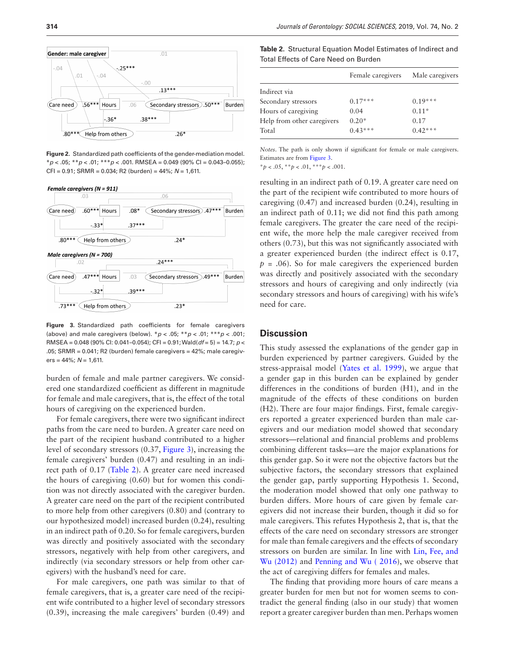

<span id="page-5-0"></span>**Figure 2.** Standardized path coefficients of the gender-mediation model. \**p* < .05; \*\**p* < .01; \*\*\**p* < .001. RMSEA = 0.049 (90% CI = 0.043–0.055); CFI = 0.91; SRMR = 0.034; R2 (burden) = 44%; *N* = 1,611.



<span id="page-5-1"></span>**Figure 3.** Standardized path coefficients for female caregivers (above) and male caregivers (below). \**p* < .05; \*\**p* < .01; \*\*\**p* < .001; RMSEA = 0.048 (90% CI: 0.041–0.054); CFI = 0.91; Wald(*df* = 5) = 14.7; *p* < .05; SRMR = 0.041; R2 (burden) female caregivers = 42%; male caregivers = 44%; *N* = 1,611.

burden of female and male partner caregivers. We considered one standardized coefficient as different in magnitude for female and male caregivers, that is, the effect of the total hours of caregiving on the experienced burden.

For female caregivers, there were two significant indirect paths from the care need to burden. A greater care need on the part of the recipient husband contributed to a higher level of secondary stressors (0.37, [Figure 3](#page-5-1)), increasing the female caregivers' burden (0.47) and resulting in an indirect path of 0.17 [\(Table 2\)](#page-5-2). A greater care need increased the hours of caregiving (0.60) but for women this condition was not directly associated with the caregiver burden. A greater care need on the part of the recipient contributed to more help from other caregivers (0.80) and (contrary to our hypothesized model) increased burden (0.24), resulting in an indirect path of 0.20. So for female caregivers, burden was directly and positively associated with the secondary stressors, negatively with help from other caregivers, and indirectly (via secondary stressors or help from other caregivers) with the husband's need for care.

For male caregivers, one path was similar to that of female caregivers, that is, a greater care need of the recipient wife contributed to a higher level of secondary stressors (0.39), increasing the male caregivers' burden (0.49) and

<span id="page-5-2"></span>**Table 2.** Structural Equation Model Estimates of Indirect and Total Effects of Care Need on Burden

| Female caregivers          |           | Male caregivers |  |
|----------------------------|-----------|-----------------|--|
| Indirect via               |           |                 |  |
| Secondary stressors        | $0.17***$ | $0.19***$       |  |
| Hours of caregiving        | 0.04      | $0.11*$         |  |
| Help from other caregivers | $0.20*$   | 0.17            |  |
| Total                      | $0.43***$ | $0.42***$       |  |

*Notes*. The path is only shown if significant for female or male caregivers. Estimates are from [Figure 3](#page-5-1).

\**p* < .05, \*\**p* < .01, \*\*\**p* < .001.

resulting in an indirect path of 0.19. A greater care need on the part of the recipient wife contributed to more hours of caregiving (0.47) and increased burden (0.24), resulting in an indirect path of 0.11; we did not find this path among female caregivers. The greater the care need of the recipient wife, the more help the male caregiver received from others (0.73), but this was not significantly associated with a greater experienced burden (the indirect effect is 0.17,  $p = .06$ ). So for male caregivers the experienced burden was directly and positively associated with the secondary stressors and hours of caregiving and only indirectly (via secondary stressors and hours of caregiving) with his wife's need for care.

#### **Discussion**

This study assessed the explanations of the gender gap in burden experienced by partner caregivers. Guided by the stress-appraisal model ([Yates et al. 1999\)](#page-8-8), we argue that a gender gap in this burden can be explained by gender differences in the conditions of burden (H1), and in the magnitude of the effects of these conditions on burden (H2). There are four major findings. First, female caregivers reported a greater experienced burden than male caregivers and our mediation model showed that secondary stressors—relational and financial problems and problems combining different tasks—are the major explanations for this gender gap. So it were not the objective factors but the subjective factors, the secondary stressors that explained the gender gap, partly supporting Hypothesis 1. Second, the moderation model showed that only one pathway to burden differs. More hours of care given by female caregivers did not increase their burden, though it did so for male caregivers. This refutes Hypothesis 2, that is, that the effects of the care need on secondary stressors are stronger for male than female caregivers and the effects of secondary stressors on burden are similar. In line with [Lin, Fee, and](#page-8-21)  [Wu \(2012\)](#page-8-21) and [Penning and Wu \( 2016](#page-8-5)), we observe that the act of caregiving differs for females and males.

The finding that providing more hours of care means a greater burden for men but not for women seems to contradict the general finding (also in our study) that women report a greater caregiver burden than men. Perhaps women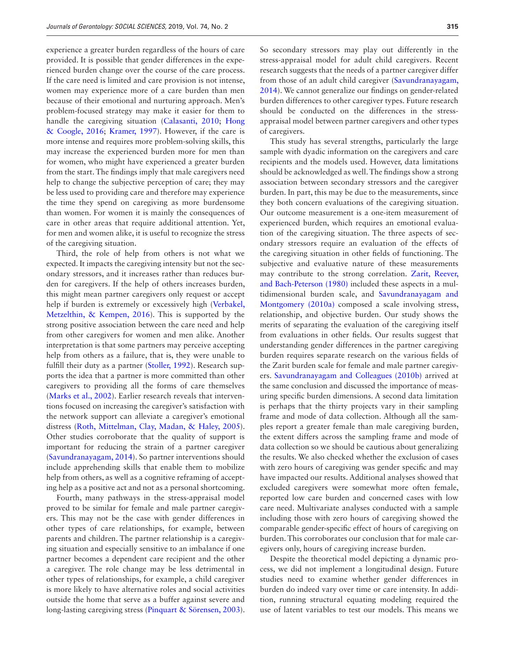experience a greater burden regardless of the hours of care provided. It is possible that gender differences in the experienced burden change over the course of the care process. If the care need is limited and care provision is not intense, women may experience more of a care burden than men because of their emotional and nurturing approach. Men's problem-focused strategy may make it easier for them to handle the caregiving situation ([Calasanti, 2010](#page-7-1); [Hong](#page-7-2)  [& Coogle, 2016](#page-7-2); [Kramer, 1997](#page-7-3)). However, if the care is more intense and requires more problem-solving skills, this may increase the experienced burden more for men than for women, who might have experienced a greater burden from the start. The findings imply that male caregivers need help to change the subjective perception of care; they may be less used to providing care and therefore may experience the time they spend on caregiving as more burdensome than women. For women it is mainly the consequences of care in other areas that require additional attention. Yet, for men and women alike, it is useful to recognize the stress of the caregiving situation.

Third, the role of help from others is not what we expected. It impacts the caregiving intensity but not the secondary stressors, and it increases rather than reduces burden for caregivers. If the help of others increases burden, this might mean partner caregivers only request or accept help if burden is extremely or excessively high (Verbakel, [Metzelthin, & Kempen, 2016\)](#page-8-22). This is supported by the strong positive association between the care need and help from other caregivers for women and men alike. Another interpretation is that some partners may perceive accepting help from others as a failure, that is, they were unable to fulfill their duty as a partner [\(Stoller, 1992\)](#page-8-11). Research supports the idea that a partner is more committed than other caregivers to providing all the forms of care themselves ([Marks et al., 2002\)](#page-8-3). Earlier research reveals that interventions focused on increasing the caregiver's satisfaction with the network support can alleviate a caregiver's emotional distress ([Roth, Mittelman, Clay, Madan, & Haley, 2005](#page-8-23)). Other studies corroborate that the quality of support is important for reducing the strain of a partner caregiver ([Savundranayagam, 2014](#page-8-24)). So partner interventions should include apprehending skills that enable them to mobilize help from others, as well as a cognitive reframing of accepting help as a positive act and not as a personal shortcoming.

Fourth, many pathways in the stress-appraisal model proved to be similar for female and male partner caregivers. This may not be the case with gender differences in other types of care relationships, for example, between parents and children. The partner relationship is a caregiving situation and especially sensitive to an imbalance if one partner becomes a dependent care recipient and the other a caregiver. The role change may be less detrimental in other types of relationships, for example, a child caregiver is more likely to have alternative roles and social activities outside the home that serve as a buffer against severe and long-lasting caregiving stress [\(Pinquart & Sörensen, 2003](#page-8-1)). So secondary stressors may play out differently in the stress-appraisal model for adult child caregivers. Recent research suggests that the needs of a partner caregiver differ from those of an adult child caregiver ([Savundranayagam,](#page-8-24)  [2014](#page-8-24)). We cannot generalize our findings on gender-related burden differences to other caregiver types. Future research should be conducted on the differences in the stressappraisal model between partner caregivers and other types of caregivers.

This study has several strengths, particularly the large sample with dyadic information on the caregivers and care recipients and the models used. However, data limitations should be acknowledged as well. The findings show a strong association between secondary stressors and the caregiver burden. In part, this may be due to the measurements, since they both concern evaluations of the caregiving situation. Our outcome measurement is a one-item measurement of experienced burden, which requires an emotional evaluation of the caregiving situation. The three aspects of secondary stressors require an evaluation of the effects of the caregiving situation in other fields of functioning. The subjective and evaluative nature of these measurements may contribute to the strong correlation. [Zarit, Reever,](#page-8-25)  [and Bach-Peterson \(1980\)](#page-8-25) included these aspects in a multidimensional burden scale, and [Savundranayagam and](#page-8-14)  [Montgomery \(2010a\)](#page-8-14) composed a scale involving stress, relationship, and objective burden. Our study shows the merits of separating the evaluation of the caregiving itself from evaluations in other fields. Our results suggest that understanding gender differences in the partner caregiving burden requires separate research on the various fields of the Zarit burden scale for female and male partner caregivers. [Savundranayagam and Colleagues \(2010b\)](#page-8-10) arrived at the same conclusion and discussed the importance of measuring specific burden dimensions. A second data limitation is perhaps that the thirty projects vary in their sampling frame and mode of data collection. Although all the samples report a greater female than male caregiving burden, the extent differs across the sampling frame and mode of data collection so we should be cautious about generalizing the results. We also checked whether the exclusion of cases with zero hours of caregiving was gender specific and may have impacted our results. Additional analyses showed that excluded caregivers were somewhat more often female, reported low care burden and concerned cases with low care need. Multivariate analyses conducted with a sample including those with zero hours of caregiving showed the comparable gender-specific effect of hours of caregiving on burden. This corroborates our conclusion that for male caregivers only, hours of caregiving increase burden.

Despite the theoretical model depicting a dynamic process, we did not implement a longitudinal design. Future studies need to examine whether gender differences in burden do indeed vary over time or care intensity. In addition, running structural equating modeling required the use of latent variables to test our models. This means we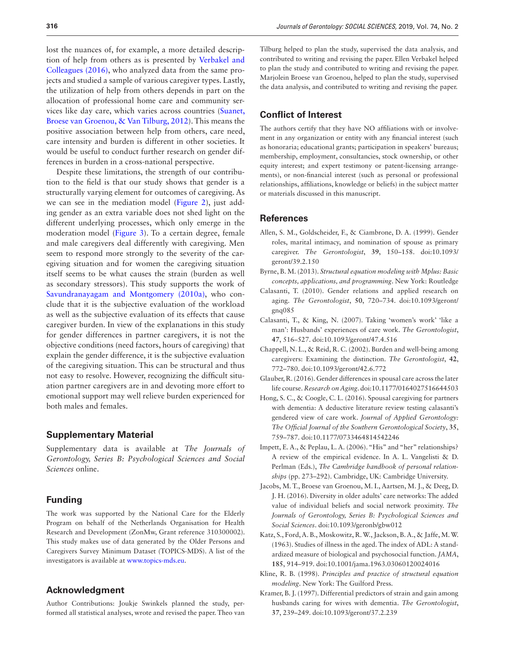lost the nuances of, for example, a more detailed description of help from others as is presented by [Verbakel and](#page-8-22)  [Colleagues \(2016\)](#page-8-22), who analyzed data from the same projects and studied a sample of various caregiver types. Lastly, the utilization of help from others depends in part on the allocation of professional home care and community services like day care, which varies across countries ([Suanet,](#page-8-26)  [Broese van Groenou, & Van Tilburg, 2012](#page-8-26)). This means the positive association between help from others, care need, care intensity and burden is different in other societies. It would be useful to conduct further research on gender differences in burden in a cross-national perspective.

Despite these limitations, the strength of our contribution to the field is that our study shows that gender is a structurally varying element for outcomes of caregiving. As we can see in the mediation model [\(Figure 2\)](#page-5-0), just adding gender as an extra variable does not shed light on the different underlying processes, which only emerge in the moderation model ([Figure 3\)](#page-5-1). To a certain degree, female and male caregivers deal differently with caregiving. Men seem to respond more strongly to the severity of the caregiving situation and for women the caregiving situation itself seems to be what causes the strain (burden as well as secondary stressors). This study supports the work of [Savundranayagam and Montgomery \(2010a\),](#page-8-14) who conclude that it is the subjective evaluation of the workload as well as the subjective evaluation of its effects that cause caregiver burden. In view of the explanations in this study for gender differences in partner caregivers, it is not the objective conditions (need factors, hours of caregiving) that explain the gender difference, it is the subjective evaluation of the caregiving situation. This can be structural and thus not easy to resolve. However, recognizing the difficult situation partner caregivers are in and devoting more effort to emotional support may well relieve burden experienced for both males and females.

## **Supplementary Material**

Supplementary data is available at *The Journals of Gerontology, Series B: Psychological Sciences and Social Sciences* online.

#### **Funding**

The work was supported by the National Care for the Elderly Program on behalf of the Netherlands Organisation for Health Research and Development (ZonMw, Grant reference 310300002). This study makes use of data generated by the Older Persons and Caregivers Survey Minimum Dataset (TOPICS-MDS). A list of the investigators is available at [www.topics-mds.eu](http://www.topics-mds.eu).

#### **Acknowledgment**

Author Contributions: Joukje Swinkels planned the study, performed all statistical analyses, wrote and revised the paper. Theo van

Tilburg helped to plan the study, supervised the data analysis, and contributed to writing and revising the paper. Ellen Verbakel helped to plan the study and contributed to writing and revising the paper. Marjolein Broese van Groenou, helped to plan the study, supervised the data analysis, and contributed to writing and revising the paper.

# **Conflict of Interest**

The authors certify that they have NO affiliations with or involvement in any organization or entity with any financial interest (such as honoraria; educational grants; participation in speakers' bureaus; membership, employment, consultancies, stock ownership, or other equity interest; and expert testimony or patent-licensing arrangements), or non-financial interest (such as personal or professional relationships, affiliations, knowledge or beliefs) in the subject matter or materials discussed in this manuscript.

#### **References**

- <span id="page-7-6"></span>Allen, S. M., Goldscheider, F., & Ciambrone, D. A. (1999). Gender roles, marital intimacy, and nomination of spouse as primary caregiver. *The Gerontologist*, **39**, 150–158. doi:10.1093/ geront/39.2.150
- <span id="page-7-11"></span>Byrne, B. M. (2013). *Structural equation modeling with Mplus: Basic concepts, applications, and programming*. New York: Routledge
- <span id="page-7-1"></span>Calasanti, T. (2010). Gender relations and applied research on aging. *The Gerontologist*, **50**, 720–734. doi:10.1093/geront/ gnq085
- <span id="page-7-7"></span>Calasanti, T., & King, N. (2007). Taking 'women's work' 'like a man': Husbands' experiences of care work. *The Gerontologist*, **47**, 516–527. doi:10.1093/geront/47.4.516
- <span id="page-7-4"></span>Chappell, N. L., & Reid, R. C. (2002). Burden and well-being among caregivers: Examining the distinction. *The Gerontologist*, **42**, 772–780. doi:10.1093/geront/42.6.772
- <span id="page-7-5"></span>Glauber, R. (2016). Gender differences in spousal care across the later life course. *Research on Aging*. doi:10.1177/0164027516644503
- <span id="page-7-2"></span>Hong, S. C., & Coogle, C. L. (2016). Spousal caregiving for partners with dementia: A deductive literature review testing calasanti's gendered view of care work. *Journal of Applied Gerontology: The Official Journal of the Southern Gerontological Society*, **35**, 759–787. doi:10.1177/0733464814542246
- <span id="page-7-8"></span>Impett, E. A., & Peplau, L. A. (2006). "His" and "her" relationships? A review of the empirical evidence. In A. L. Vangelisti & D. Perlman (Eds.), *The Cambridge handbook of personal relationships* (pp. 273–292). Cambridge, UK: Cambridge University.
- <span id="page-7-0"></span>Jacobs, M. T., Broese van Groenou, M. I., Aartsen, M. J., & Deeg, D. J. H. (2016). Diversity in older adults' care networks: The added value of individual beliefs and social network proximity. *The Journals of Gerontology, Series B: Psychological Sciences and Social Sciences*. doi:10.1093/geronb/gbw012
- <span id="page-7-9"></span>Katz, S., Ford, A. B., Moskowitz, R. W., Jackson, B. A., & Jaffe, M. W. (1963). Studies of illness in the aged. The index of ADL: A standardized measure of biological and psychosocial function. *JAMA*, **185**, 914–919. doi:10.1001/jama.1963.03060120024016
- <span id="page-7-10"></span>Kline, R. B. (1998). *Principles and practice of structural equation modeling*. New York: The Guilford Press.
- <span id="page-7-3"></span>Kramer, B. J. (1997). Differential predictors of strain and gain among husbands caring for wives with dementia. *The Gerontologist*, **37**, 239–249. doi:10.1093/geront/37.2.239